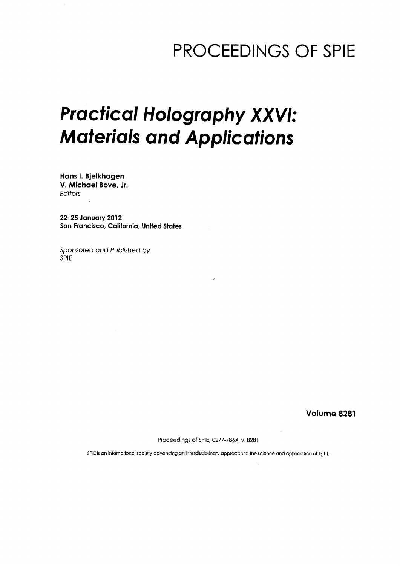## PROCEEDINGS OF SPIE

# Practical Holography XXVI: Materials and Applications

Hans I. Bjelkhagen V. Michael Bove, Jr. Editors

22-25 January 2012 San Francisco, California, United States

Sponsored and Published by SPIE

Volume 8281

Proceedings of SPIE, 0277-786X, v. 8281

SPIE is an international society advancing an interdisciplinary approach to the science and application of light.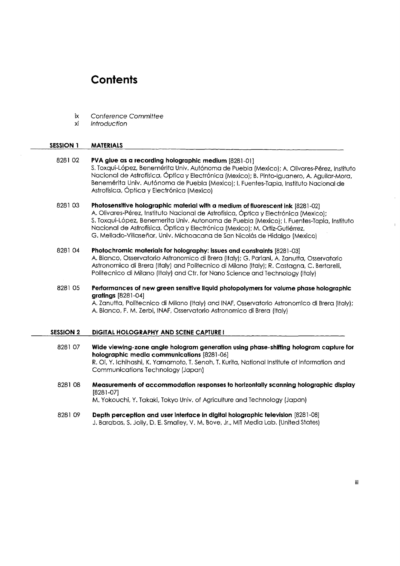### **Contents**

- ix Conference Committee
- xi Introduction

#### SESSION <sup>1</sup> MATERIALS

- <sup>8281</sup> 02 PVA glue as a recording holographic medium [8281-01] S. Toxqui-López, Benemérita Univ. Autónoma de Puebla (Mexico); A. Olivares-Pérez, Instituto Nacional de Astroffsica, 6ptica <sup>y</sup> Electronica (Mexico); B. Pinto-lguanero, A. Aguilar-Mora, Benemérita Univ. Autónoma de Puebla (Mexico); I. Fuentes-Tapia, Instituto Nacional de Astrofísica, Óptica y Electrónica (Mexico)
- 8281 03 Photosensitive holographic material with a medium of fluorescent ink [8281-02] A. Olivares-Perez, Instituto Nacional de Astrofisica, 6ptica <sup>y</sup> Electronica (Mexico); S. Toxqui-Lopez, Benemerita Univ. Autonoma de Puebla (Mexico); I. Fuentes-Tapia, Instituto Nacional de Astrofísica, Óptica y Electrónica (Mexico); M. Ortiz-Gutiérrez, G. Mellado-Villasenor, Univ. Michoacana de San Nicolas de Hidalgo (Mexico)
- 8281 04 Photochromic materials for holography: issues and constraints [8281-03] A. Bianco, Osservatorio Astronomico di Brera (Italy); G. Pariani, A. Zanutta, Osservatorio Astronomico di Brera (Italy) and Politecnico di Milano (Italy); R. Castagna, C. Bertarelli, Politecnico di Milano (Italy) and Ctr. for Nano Science and Technology (Italy)
- <sup>8281</sup> 05 Performances of new green sensitive liquid photopolymers for volume phase holographic gratings [8281-04] A. Zanutta, Politecnico di Milano (Italy) and INAF, Osservatorio Astronomico di Brera (Italy); A. Bianco, F. M. Zerbi, INAF, Osservatorio Astronomico di Brera (Italy)
- SESSION 2 DIGITAL HOLOGRAPHY AND SCENE CAPTURE I
	- 8281 07 Wide viewing-zone angle hologram generation using phase-shifting hologram capture for holographic media communications [8281-06] R. Oi, Y. Ichihashi, K. Yamamoto, T. Senoh, T. Kurita, National Institute of Information and Communications Technology (Japan)
	- 8281 08 Measurements of accommodation responses to horizontally scanning holographic display [8281-07]

M. Yokouchi, Y. Takaki, Tokyo Univ. of Agriculture and Technology (Japan)

<sup>8281</sup> 09 Depth perception and user interface In digital holographic television [8281-08] J. Barabas, S. Jolly, D. E. Smalley, V. M. Bove, Jr., MIT Media Lab. (United States)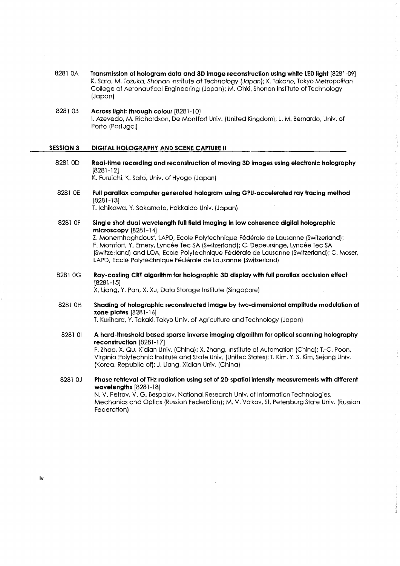- <sup>8281</sup> OA Transmission of hologram data and 3D image reconstruction using white LED light [8281-09] K. Sato, M. Tozuka, Shonan Institute of Technology (Japan); K. Takano, Tokyo Metropolitan College of Aeronautical Engineering (Japan); M. Ohki, Shonan Institute of Technology (Japan)
- 8281 OB Across light: through colour [8281-10] I. Azevedo, M. Richardson, De Montfort Univ. (United Kingdom); L. M, Bernardo, Univ. of Porto (Portugal)

#### SESSION 3 DIGITAL HOLOGRAPHY AND SCENE CAPTURE II

Federation)

- 8281 0D Real-time recording and reconstruction of moving 3D images using electronic holography [8281-12] K. Furuichi, K. Sato, Univ. of Hyogo (Japan)
- 8281 0E Full parallax computer generated hologram using GPU-accelerated ray tracing method [8281-13] T. Ichikawa. Y. Sakamoto, Hokkaido Univ. (Japan)
- 8281 OF Single shot dual wavelength full field imaging in low coherence digital holographic microscopy [8281-14] Z. Monemhaghdoust, LAPD, Ecole Polytechnique Federate de Lausanne (Switzerland); F. Montfort, Y. Emery, Lyncee Tec SA (Switzerland); C. Depeursinge, Lyncee Tec SA (Switzerland) and LOA, Ecole Polytechnique Federate de Lausanne (Switzerland); C. Moser, LAPD, Ecole Polytechnique Fédérale de Lausanne (Switzerland)
- 8281 0G Ray-casting CRT algorithm for holographic 3D display with full parallax occlusion effect [8281-15]

X. Liang, Y. Pan, X. Xu, Data Storage Institute (Singapore)

8281 OH Shading of holographic reconstructed image by two-dimensional amplitude modulation of zone plates [8281-16]

T. Kurihara, Y. Takaki, Tokyo Univ. of Agriculture and Technology (Japan)

8281 01 A hard-threshold based sparse inverse imaging algorithm for optical scanning holography reconstruction [8281-17] F. Zhao, X. Qu, Xidian Univ. (China); X. Zhang, Institute of Automation (China); T.-C. Poon,

Virginia Polytechnic Institute and State Univ. (United States); T. Kim, Y. S. Kim, Sejong Univ. (Korea, Republic of); J. Liang, Xidian Univ. (China)

<sup>8281</sup> 0J Phase retrieval of THz radiation using set of 2D spatial intensity measurements with different wavelengths [8281-18] N. V. Petrov, V. G. Bespalov, National Research Univ. of Information Technologies, Mechanics and Optics (Russian Federation); M. V. Volkov, St. Petersburg State Univ. (Russian

iv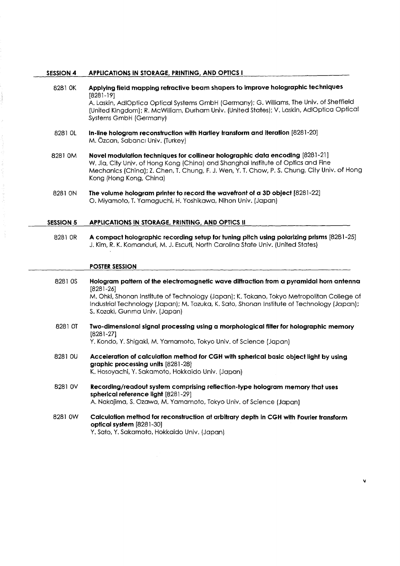#### SESSION 4 APPLICATIONS IN STORAGE, PRINTING, AND OPTICS I

- <sup>8281</sup> OK Applying field mapping refractive beam shapers to improve holographic techniques [8281-19] A. Laskin, AdIOptica Optical Systems GmbH (Germany); G. Williams, The Univ. of Sheffield (United Kingdom); R. McWilliam, Durham Univ. (United States); V. Laskin, AdIOptica Optical Systems GmbH (Germany) 8281 OL In-line hologram reconstruction with Hartley transform and iteration [8281-20] M. Ozcan, Sabanci Univ. (Turkey)
- <sup>8281</sup> 0M Novel modulation techniques for collinear holographic data encoding [8281-21] W. Jia, City Univ. of Hong Kong (China) and Shanghai Institute of Optics and Fine Mechanics (China); Z. Chen, T. Chung, F. J. Wen, Y. T. Chow, P. S. Chung, City Univ. of Hong Kong (Hong Kong, China)
- 8281 ON The volume hologram printer to record the wavefront of a 3D object [8281-22] O. Miyamoto, T. Yamaguchi, H. Yoshikawa, Ninon Univ. (Japan)

#### SESSION 5 APPLICATIONS IN STORAGE, PRINTING, AND OPTICS II

8281 OR A compact holographic recording setup for tuning pitch using polarizing prisms [8281-25] J. Kim, R. K. Komanduri, M. J. Escuti, North Carolina State Univ. (United States)

#### POSTER SESSION

- <sup>8281</sup> OS Hologram pattern of the electromagnetic wave diffraction from a pyramidal horn antenna [8281-26] M. Ohki, Shonan Institute of Technology (Japan); K. Takano, Tokyo Metropolitan College of Industrial Technology (Japan); M. Tozuka, K. Sato, Shonan Institute of Technology (Japan); S. Kozaki, Gunma Univ. (Japan)
- 8281 0T Two-dimensional signal processing using a morphological filter for holographic memory [8281-27]

Y. Kondo, Y. Shigaki, M. Yamamoto, Tokyo Univ. of Science (Japan)

- 8281 0U Acceleration of calculation method for CGH with spherical basic object light by using graphic processing units [8281-28] K. Hosoyachi, Y. Sakamoto, Hokkaido Univ. (Japan)
- 8281 0V Recording/readout system comprising reflection-type hologram memory that uses spherical reference light [8281-29] A. Nakajima, S. Ozawa, M. Yamamoto, Tokyo Univ. of Science (Japan)
- <sup>8281</sup> 0W Calculation method for reconstruction at arbitrary depth in CGH with Fourier transform optical system [8281-30] Y. Sato, Y. Sakamoto, Hokkaido Univ. (Japan)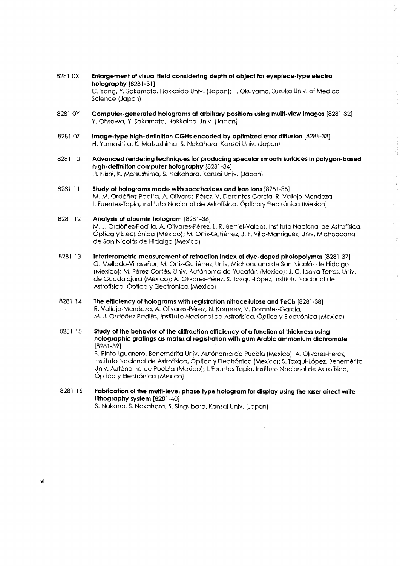- 8281 OX Enlargement of visual field considering depth of object for eyepiece-type electro holography [8281-31] C. Yang, Y. Sakamoto, Hokkaido Univ. (Japan); F. Okuyama, Suzuka Univ. of Medical Science (Japan)
- 8281 OY Computer-generated holograms at arbitrary positions using multi-view images [8281-32] Y. Ohsawa, Y. Sakamoto, Hokkaido Univ. (Japan)
- <sup>8281</sup> OZ Image-type high-definition CGHs encoded by optimized error diffusion [8281-33] H. Yamashita, K. Matsushima, S. Nakahara, Kansai Univ. (Japan)
- 8281 10 Advanced rendering techniques for producing specular smooth surfaces in polygon-based high-definition computer holography [8281-34] H. Nishi, K. Matsushima, S. Nakahara, Kansai Univ. (Japan)
- 8281 11 Study of holograms made with saccharides and iron ions [8281-35] M. M. Ordonez-Padilla, A. Olivares-Perez, V. Dorantes-Garcfa, R. Vallejo-Mendoza, I. Fuentes-Tapia, Instituto Nacional de Astroffsica, Optica y Electronica (Mexico)
- 8281 12 Analysis of albumin hologram [8281-36] M. J. Ordóñez-Padilla, A. Olivares-Pérez, L. R. Berriel-Valdos, Instituto Nacional de Astrofísica, Óptica y Electrónica (Mexico); M. Ortiz-Gutiérrez, J. F. Villa-Manríquez, Univ. Michoacana de San Nicolás de Hidalgo (Mexico)

 $\frac{1}{2}$ 

- 8281 <sup>13</sup> Interferometric measurement of refraction index of dye-doped photopolymer [8281-37] G. Mellado-Villasehor, M. Ortiz-Gutierrez, Univ. Michoacana de San Nicolas de Hidalgo (Mexico); M. Perez-Cortes, Univ. Autonoma de Yucatan (Mexico); J. C. Ibarra-Torres, Univ. de Guadalajara (Mexico); A. Olivares-Pérez, S. Toxqui-López, Instituto Nacional de Astroffsica, Optica y Electr6nica (Mexico)
- 8281 14 The efficiency of holograms with registration nitrocellulose and FeCl<sub>3</sub> [8281-38] R. Vallejo-Mendoza, A. Olivares-Pérez, N. Korneev, V. Dorantes-García, M. J. Ordonez-Padilla, Instituto Nacional de Astroffsica, Optica y Electronica (Mexico)
- 8281 15 Study of the behavior of the diffraction efficiency of a function of thickness using holographic gratings as material registration with gum Arabic ammonium dichromate [8281-39]

B. Pinto-Iguanero, Benemérita Univ. Autónoma de Puebla (Mexico); A. Olivares-Pérez, Instituto Nacional de Astrofísica, Óptica y Electrónica (Mexico); S. Toxqui-López, Benemérita Univ. Autónoma de Puebla (Mexico); I. Fuentes-Tapia, Instituto Nacional de Astrofísica, Óptica y Electrónica (Mexico)

8281 16 Fabrication of the multi-level phase type hologram for display using the laser direct write lithography system [8281-40] S. Nakano, S. Nakahara, S. Singubara, Kansai Univ. (Japan)